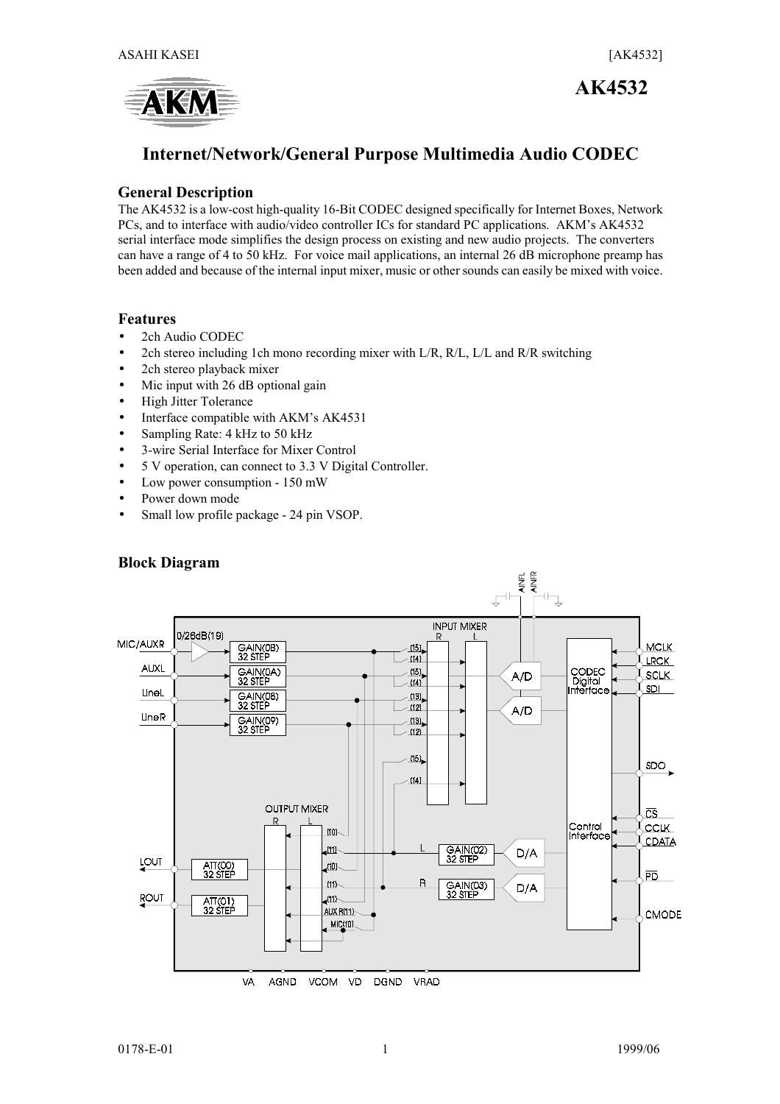

# **AK4532**

# **Internet/Network/General Purpose Multimedia Audio CODEC**

#### **General Description**

The AK4532 is a low-cost high-quality 16-Bit CODEC designed specifically for Internet Boxes, Network PCs, and to interface with audio/video controller ICs for standard PC applications. AKM's AK4532 serial interface mode simplifies the design process on existing and new audio projects. The converters can have a range of 4 to 50 kHz. For voice mail applications, an internal 26 dB microphone preamp has been added and because of the internal input mixer, music or other sounds can easily be mixed with voice.

#### **Features**

- 2ch Audio CODEC
- 2ch stereo including 1ch mono recording mixer with  $L/R$ ,  $R/L$ ,  $L/L$  and  $R/R$  switching
- 2ch stereo playback mixer
- Mic input with 26 dB optional gain
- High Jitter Tolerance
- Interface compatible with AKM's AK4531
- Sampling Rate: 4 kHz to 50 kHz
- 3-wire Serial Interface for Mixer Control
- 5 V operation, can connect to 3.3 V Digital Controller.
- Low power consumption 150 mW
- Power down mode
- Small low profile package 24 pin VSOP.



#### **Block Diagram**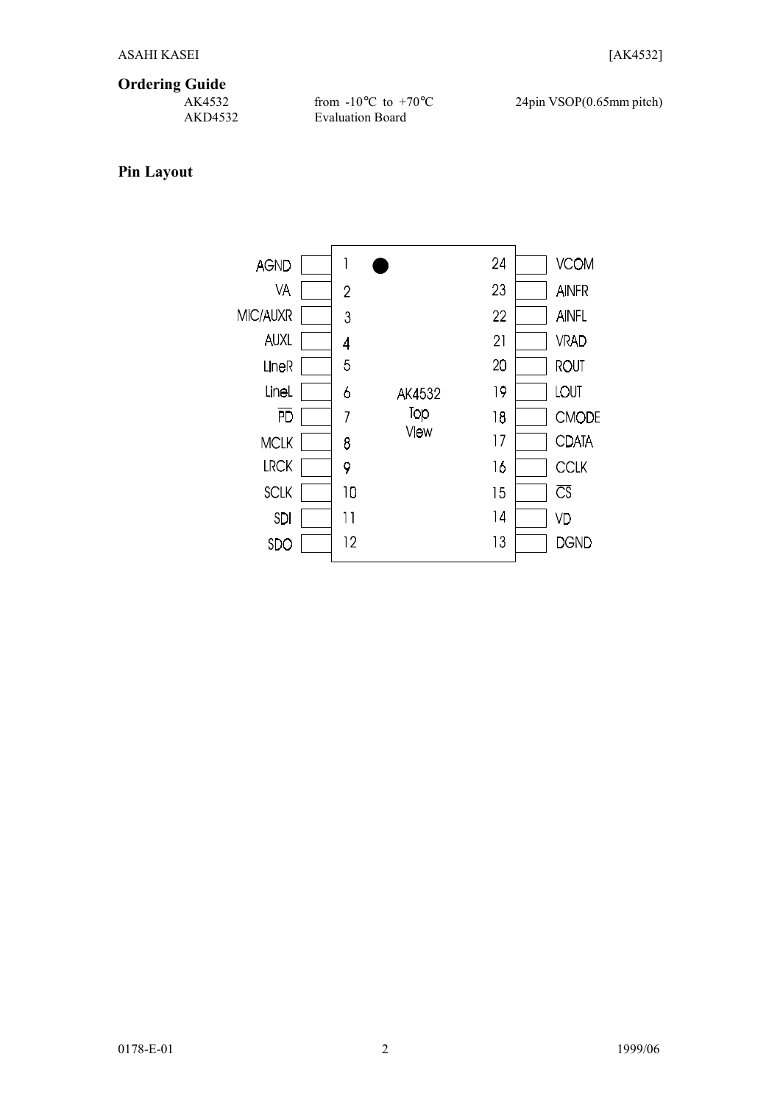# **Ordering Guide**

AKD4532 Evaluation Board

from  $-10\degree$ C to  $+70\degree$ C 24pin VSOP(0.65mm pitch)

## **Pin Layout**

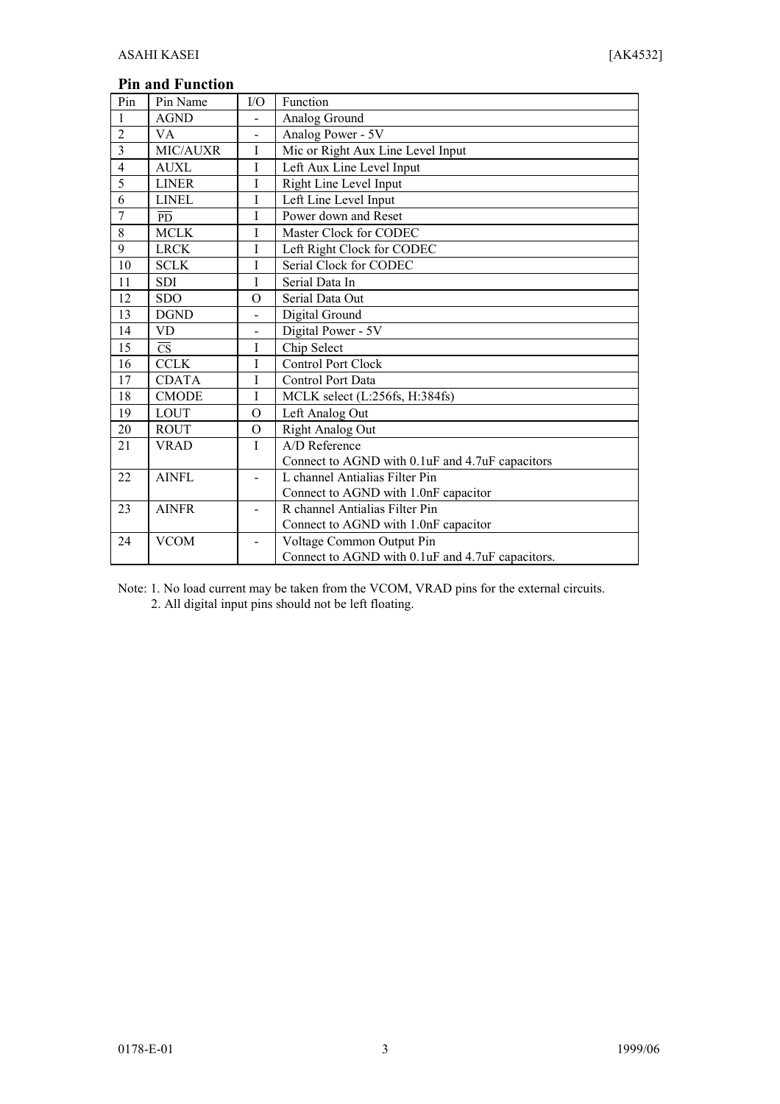## **Pin and Function**

| Pin            | Pin Name               | I/O                      | Function                                         |
|----------------|------------------------|--------------------------|--------------------------------------------------|
| $\mathbf{1}$   | <b>AGND</b>            |                          | Analog Ground                                    |
| $\overline{2}$ | VA                     | $\blacksquare$           | Analog Power - 5V                                |
| $\overline{3}$ | MIC/AUXR               | $\mathbf I$              | Mic or Right Aux Line Level Input                |
| $\overline{4}$ | <b>AUXL</b>            | Ι                        | Left Aux Line Level Input                        |
| $\overline{5}$ | <b>LINER</b>           | $\rm I$                  | Right Line Level Input                           |
| 6              | <b>LINEL</b>           | $\mathbf I$              | Left Line Level Input                            |
| $\overline{7}$ | <b>PD</b>              | I                        | Power down and Reset                             |
| 8              | <b>MCLK</b>            | T                        | Master Clock for CODEC                           |
| 9              | <b>LRCK</b>            | I                        | Left Right Clock for CODEC                       |
| 10             | <b>SCLK</b>            | T                        | Serial Clock for CODEC                           |
| 11             | <b>SDI</b>             | I                        | Serial Data In                                   |
| 12             | <b>SDO</b>             | $\Omega$                 | Serial Data Out                                  |
| 13             | <b>DGND</b>            | $\overline{a}$           | Digital Ground                                   |
| 14             | VD                     | $\overline{\phantom{0}}$ | Digital Power - 5V                               |
| 15             | $\overline{\text{CS}}$ | I                        | Chip Select                                      |
| 16             | <b>CCLK</b>            | I                        | <b>Control Port Clock</b>                        |
| 17             | <b>CDATA</b>           | I                        | Control Port Data                                |
| 18             | <b>CMODE</b>           | $\mathbf I$              | MCLK select (L:256fs, H:384fs)                   |
| 19             | <b>LOUT</b>            | $\mathcal{O}$            | Left Analog Out                                  |
| 20             | <b>ROUT</b>            | $\Omega$                 | Right Analog Out                                 |
| 21             | <b>VRAD</b>            | $\mathbf{I}$             | A/D Reference                                    |
|                |                        |                          | Connect to AGND with 0.1uF and 4.7uF capacitors  |
| 22             | <b>AINFL</b>           | $\overline{\phantom{0}}$ | L channel Antialias Filter Pin                   |
|                |                        |                          | Connect to AGND with 1.0nF capacitor             |
| 23             | <b>AINFR</b>           | ÷                        | R channel Antialias Filter Pin                   |
|                |                        |                          | Connect to AGND with 1.0nF capacitor             |
| 24             | <b>VCOM</b>            | $\blacksquare$           | Voltage Common Output Pin                        |
|                |                        |                          | Connect to AGND with 0.1uF and 4.7uF capacitors. |

Note: 1. No load current may be taken from the VCOM, VRAD pins for the external circuits.

2. All digital input pins should not be left floating.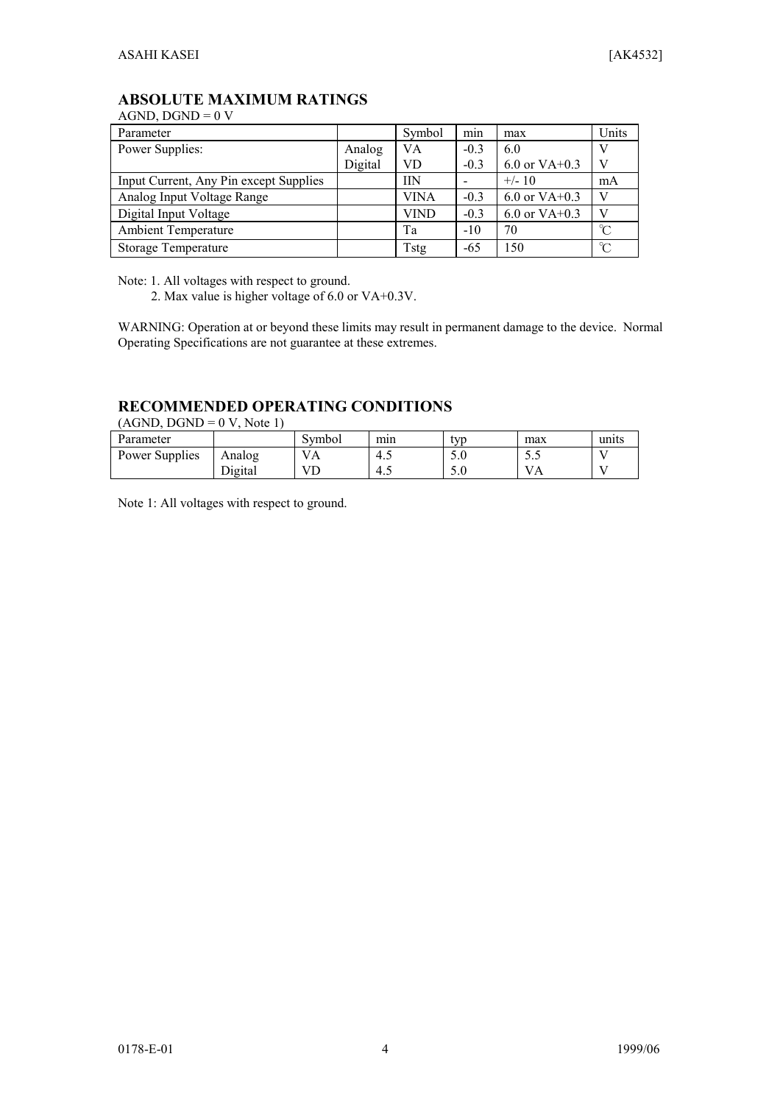## **ABSOLUTE MAXIMUM RATINGS**

AGND,  $DGND = 0$  V

| Parameter                              |         | Symbol      | min    | max               | Units        |
|----------------------------------------|---------|-------------|--------|-------------------|--------------|
| Power Supplies:                        | Analog  | VA          | $-0.3$ | 6.0               |              |
|                                        | Digital | <b>VD</b>   | $-0.3$ | $6.0$ or VA+0.3   | V            |
| Input Current, Any Pin except Supplies |         | IIN         |        | $+/- 10$          | mA           |
| Analog Input Voltage Range             |         | VINA        | $-0.3$ | 6.0 or $VA + 0.3$ | V            |
| Digital Input Voltage                  |         | <b>VIND</b> | $-0.3$ | 6.0 or $VA + 0.3$ | V            |
| <b>Ambient Temperature</b>             |         | Ta          | $-10$  | 70                | $\mathrm{C}$ |
| <b>Storage Temperature</b>             |         | Tstg        | -65    | 150               | $\mathrm{C}$ |

Note: 1. All voltages with respect to ground.

2. Max value is higher voltage of 6.0 or VA+0.3V.

WARNING: Operation at or beyond these limits may result in permanent damage to the device. Normal Operating Specifications are not guarantee at these extremes.

## **RECOMMENDED OPERATING CONDITIONS**

 $(AGND, DGND = 0 V, Note 1)$ 

| Parameter      |         | Symbol         | min | typ | max      | units |
|----------------|---------|----------------|-----|-----|----------|-------|
| Power Supplies | Analog  | $\overline{A}$ | 4.1 | 5.0 | ັ∴       |       |
|                | Digital |                | 4.1 | 5.0 | $\Gamma$ |       |

Note 1: All voltages with respect to ground.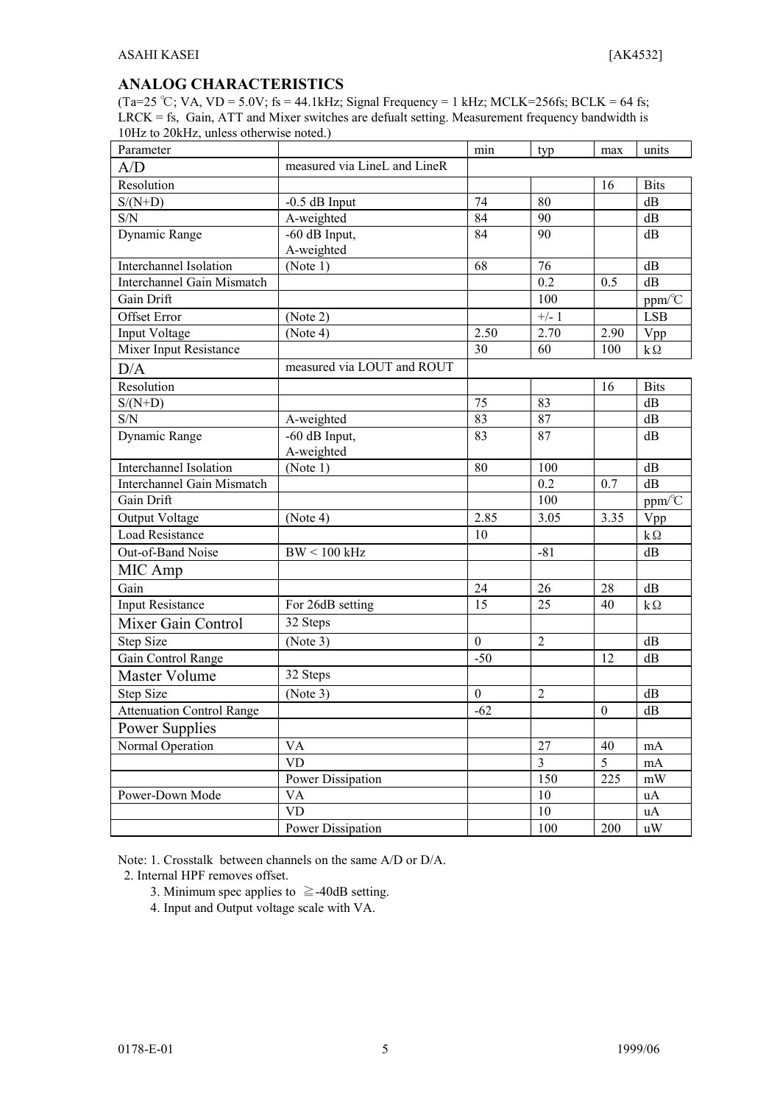#### **ANALOG CHARACTERISTICS**

(Ta=25 °C; VA, VD = 5.0V; fs = 44.1kHz; Signal Frequency = 1 kHz; MCLK=256fs; BCLK = 64 fs; LRCK = fs, Gain, ATT and Mixer switches are defualt setting. Measurement frequency bandwidth is 10Hz to 20kHz, unless otherwise noted.)

| Parameter                         |                               | min              | typ            | max            | units                         |
|-----------------------------------|-------------------------------|------------------|----------------|----------------|-------------------------------|
| A/D                               | measured via LineL and LineR  |                  |                |                |                               |
| Resolution                        |                               |                  |                | 16             | <b>Bits</b>                   |
| $S/(N+D)$                         | $-0.5$ dB Input               | 74               | 80             |                | dB                            |
| $\ensuremath{\mathrm{S/N}}$       | A-weighted                    | 84               | 90             |                | dB                            |
| Dynamic Range                     | $-60$ dB Input,<br>A-weighted | 84               | 90             |                | dB                            |
| Interchannel Isolation            | (Note 1)                      | 68               | 76             |                | dB                            |
| <b>Interchannel Gain Mismatch</b> |                               |                  | 0.2            | 0.5            | dB                            |
| Gain Drift                        |                               |                  | 100            |                | $ppm\text{/}^{\circ}\text{C}$ |
| <b>Offset Error</b>               | (Note 2)                      |                  | $+/-1$         |                | <b>LSB</b>                    |
| Input Voltage                     | (Note 4)                      | 2.50             | 2.70           | 2.90           | Vpp                           |
| Mixer Input Resistance            |                               | 30               | 60             | 100            | $k\Omega$                     |
| D/A                               | measured via LOUT and ROUT    |                  |                |                |                               |
| Resolution                        |                               |                  |                | 16             | <b>Bits</b>                   |
| $S/(N+D)$                         |                               | 75               | 83             |                | dB                            |
| $\ensuremath{\mathrm{S/N}}$       | A-weighted                    | 83               | 87             |                | dB                            |
| Dynamic Range                     | $-60$ dB Input,<br>A-weighted | 83               | 87             |                | dB                            |
| Interchannel Isolation            | (Note 1)                      | 80               | 100            |                | dB                            |
| Interchannel Gain Mismatch        |                               |                  | 0.2            | 0.7            | dB                            |
| Gain Drift                        |                               |                  | 100            |                | ppm/°C                        |
| Output Voltage                    | (Note 4)                      | 2.85             | 3.05           | 3.35           | Vpp                           |
| <b>Load Resistance</b>            |                               | 10               |                |                | $k\Omega$                     |
| Out-of-Band Noise                 | $BW < 100$ kHz                |                  | $-81$          |                | dB                            |
| MIC Amp                           |                               |                  |                |                |                               |
| Gain                              |                               | 24               | 26             | 28             | dB                            |
| <b>Input Resistance</b>           | For 26dB setting              | 15               | 25             | 40             | $k\Omega$                     |
| Mixer Gain Control                | 32 Steps                      |                  |                |                |                               |
| <b>Step Size</b>                  | (Note 3)                      | $\boldsymbol{0}$ | $\overline{2}$ |                | dB                            |
| Gain Control Range                |                               | $-50$            |                | 12             | dB                            |
| Master Volume                     | 32 Steps                      |                  |                |                |                               |
| Step Size                         | (Note 3)                      | $\overline{0}$   | $\overline{2}$ |                | dB                            |
| <b>Attenuation Control Range</b>  |                               | $-62$            |                | $\mathbf{0}$   | dB                            |
| <b>Power Supplies</b>             |                               |                  |                |                |                               |
| Normal Operation                  | $\mathbf{V}\mathbf{A}$        |                  | 27             | 40             | mA                            |
|                                   | <b>VD</b>                     |                  | $\overline{3}$ | 5 <sup>5</sup> | $\rm mA$                      |
|                                   | Power Dissipation             |                  | 150            | 225            | mW                            |
| Power-Down Mode                   | VA                            |                  | 10             |                | uA                            |
|                                   | VD                            |                  | 10             |                | uA                            |
|                                   | Power Dissipation             |                  | 100            | 200            | uW                            |

Note: 1. Crosstalk between channels on the same A/D or D/A.

2. Internal HPF removes offset.

- 3. Minimum spec applies to  $\ge$  -40dB setting.
- 4. Input and Output voltage scale with VA.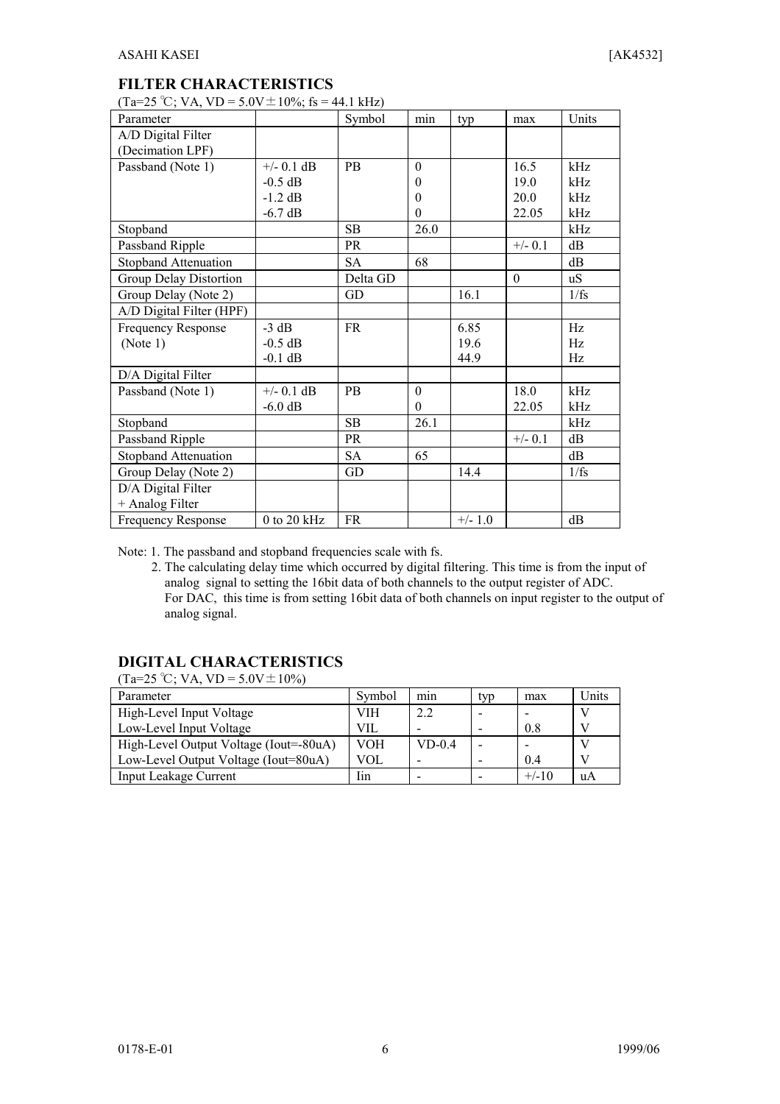#### **FILTER CHARACTERISTICS**

 $(Ta=25 °C$ ; VA, VD = 5.0V  $\pm$  10%; fs = 44.1 kHz)

| Parameter                   |               | Symbol    | min      | typ       | max       | Units |
|-----------------------------|---------------|-----------|----------|-----------|-----------|-------|
| A/D Digital Filter          |               |           |          |           |           |       |
| (Decimation LPF)            |               |           |          |           |           |       |
| Passband (Note 1)           | $+/-$ 0.1 dB  | <b>PB</b> | $\theta$ |           | 16.5      | kHz   |
|                             | $-0.5$ dB     |           | $\theta$ |           | 19.0      | kHz   |
|                             | $-1.2$ dB     |           | $\theta$ |           | 20.0      | kHz   |
|                             | $-6.7$ dB     |           | $\theta$ |           | 22.05     | kHz   |
| Stopband                    |               | <b>SB</b> | 26.0     |           |           | kHz   |
| Passband Ripple             |               | <b>PR</b> |          |           | $+/- 0.1$ | dB    |
| Stopband Attenuation        |               | <b>SA</b> | 68       |           |           | dB    |
| Group Delay Distortion      |               | Delta GD  |          |           | $\theta$  | uS    |
| Group Delay (Note 2)        |               | GD        |          | 16.1      |           | 1/fs  |
| A/D Digital Filter (HPF)    |               |           |          |           |           |       |
| Frequency Response          | $-3 dB$       | <b>FR</b> |          | 6.85      |           | Hz    |
| (Note 1)                    | $-0.5$ dB     |           |          | 19.6      |           | Hz    |
|                             | $-0.1$ dB     |           |          | 44.9      |           | Hz    |
| D/A Digital Filter          |               |           |          |           |           |       |
| Passband (Note 1)           | $+/-$ 0.1 dB  | <b>PB</b> | $\theta$ |           | 18.0      | kHz   |
|                             | $-6.0$ dB     |           | $\Omega$ |           | 22.05     | kHz   |
| Stopband                    |               | SB        | 26.1     |           |           | kHz   |
| Passband Ripple             |               | PR        |          |           | $+/- 0.1$ | dB    |
| <b>Stopband Attenuation</b> |               | <b>SA</b> | 65       |           |           | dB    |
| Group Delay (Note 2)        |               | GD        |          | 14.4      |           | 1/fs  |
| D/A Digital Filter          |               |           |          |           |           |       |
| + Analog Filter             |               |           |          |           |           |       |
| <b>Frequency Response</b>   | $0$ to 20 kHz | <b>FR</b> |          | $+/- 1.0$ |           | dВ    |

Note: 1. The passband and stopband frequencies scale with fs.

2. The calculating delay time which occurred by digital filtering. This time is from the input of analog signal to setting the 16bit data of both channels to the output register of ADC. For DAC, this time is from setting 16bit data of both channels on input register to the output of analog signal.

## **DIGITAL CHARACTERISTICS**

 $(Ta=25 °C; VA, VD = 5.0 V \pm 10 %)$ 

| Parameter                              | Symbol     | min      | typ | max     | Units |
|----------------------------------------|------------|----------|-----|---------|-------|
| High-Level Input Voltage               | VIH        | 2.2      |     |         |       |
| Low-Level Input Voltage                | VII.       |          |     | 0.8     |       |
| High-Level Output Voltage (Iout=-80uA) | <b>VOH</b> | $VD-0.4$ |     |         |       |
| Low-Level Output Voltage (Iout=80uA)   | VOL        |          |     | 0.4     |       |
| <b>Input Leakage Current</b>           | Iin        |          |     | $+/-10$ | uA    |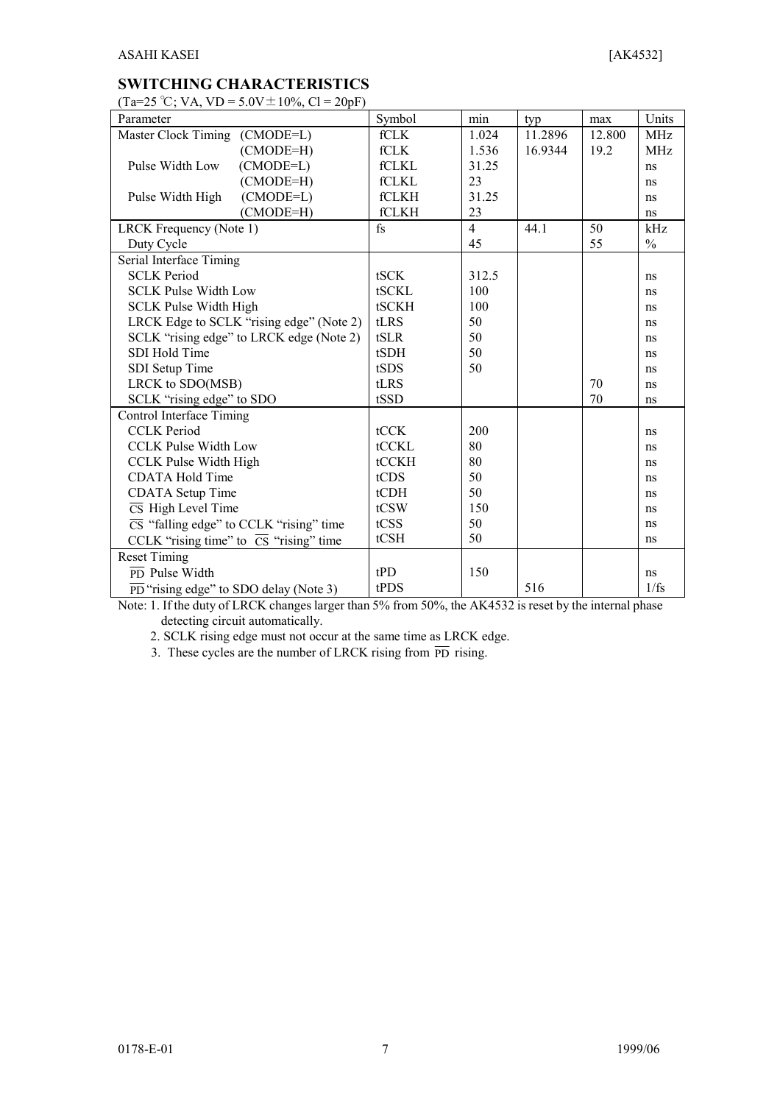### **SWITCHING CHARACTERISTICS**

 $(Ta=25 °C)$ ; VA, VD = 5.0V + 10%,  $C = 20nF$ )

| $10, 20, 0, 11, 10, 00, -10, 0, 01$<br>Parameter |                                                             | Symbol      | $\min$         | typ     | max    | Units      |
|--------------------------------------------------|-------------------------------------------------------------|-------------|----------------|---------|--------|------------|
| Master Clock Timing (CMODE=L)                    |                                                             | <b>fCLK</b> | 1.024          | 11.2896 | 12.800 | <b>MHz</b> |
|                                                  | $(CMODE=H)$                                                 | fCLK        | 1.536          | 16.9344 | 19.2   | <b>MHz</b> |
| Pulse Width Low                                  | $(CMODE=L)$                                                 | fCLKL       | 31.25          |         |        | ns         |
|                                                  | (CMODE=H)                                                   | fCLKL       | 23             |         |        | ns         |
| Pulse Width High                                 | $(CMODE=L)$                                                 | fCLKH       | 31.25          |         |        | ns         |
|                                                  | $(CMODE=H)$                                                 | fCLKH       | 23             |         |        | ns         |
| LRCK Frequency (Note 1)                          |                                                             | $f_S$       | $\overline{4}$ | 44.1    | 50     | kHz        |
| Duty Cycle                                       |                                                             |             | 45             |         | 55     | $\%$       |
| Serial Interface Timing                          |                                                             |             |                |         |        |            |
| <b>SCLK Period</b>                               |                                                             | tSCK        | 312.5          |         |        | ns         |
| <b>SCLK Pulse Width Low</b>                      |                                                             | tSCKL       | 100            |         |        | ns         |
| <b>SCLK Pulse Width High</b>                     |                                                             | tSCKH       | 100            |         |        | ns         |
|                                                  | LRCK Edge to SCLK "rising edge" (Note 2)                    | tLRS        | 50             |         |        | ns         |
|                                                  | SCLK "rising edge" to LRCK edge (Note 2)                    | tSLR        | 50             |         |        | ns         |
| SDI Hold Time                                    |                                                             | tSDH        | 50             |         |        | ns         |
| SDI Setup Time                                   |                                                             | tSDS        | 50             |         |        | ns         |
| LRCK to SDO(MSB)                                 |                                                             | tLRS        |                |         | 70     | ns         |
| SCLK "rising edge" to SDO                        |                                                             | tSSD        |                |         | 70     | ns         |
| Control Interface Timing                         |                                                             |             |                |         |        |            |
| <b>CCLK Period</b>                               |                                                             | tCCK        | 200            |         |        | ns         |
| <b>CCLK Pulse Width Low</b>                      |                                                             | tCCKL       | 80             |         |        | ns         |
| <b>CCLK Pulse Width High</b>                     |                                                             | tCCKH       | 80             |         |        | ns         |
| <b>CDATA Hold Time</b>                           |                                                             | tCDS        | 50             |         |        | ns         |
| <b>CDATA</b> Setup Time                          |                                                             | tCDH        | 50             |         |        | ns         |
| $\overline{\text{CS}}$ High Level Time           |                                                             | tCSW        | 150            |         |        | ns         |
|                                                  | $\overline{\text{CS}}$ "falling edge" to CCLK "rising" time | tCSS        | 50             |         |        | ns         |
|                                                  | CCLK "rising time" to $\overline{CS}$ "rising" time         | tCSH        | 50             |         |        | ns         |
| <b>Reset Timing</b>                              |                                                             |             |                |         |        |            |
| $\overline{PD}$ Pulse Width                      |                                                             | tPD         | 150            |         |        | ns         |
|                                                  | $\overline{PD}$ "rising edge" to SDO delay (Note 3)         | tPDS        |                | 516     |        | 1/fs       |

Note: 1. If the duty of LRCK changes larger than 5% from 50%, the AK4532 is reset by the internal phase detecting circuit automatically.

2. SCLK rising edge must not occur at the same time as LRCK edge.

3. These cycles are the number of LRCK rising from  $\overline{PD}$  rising.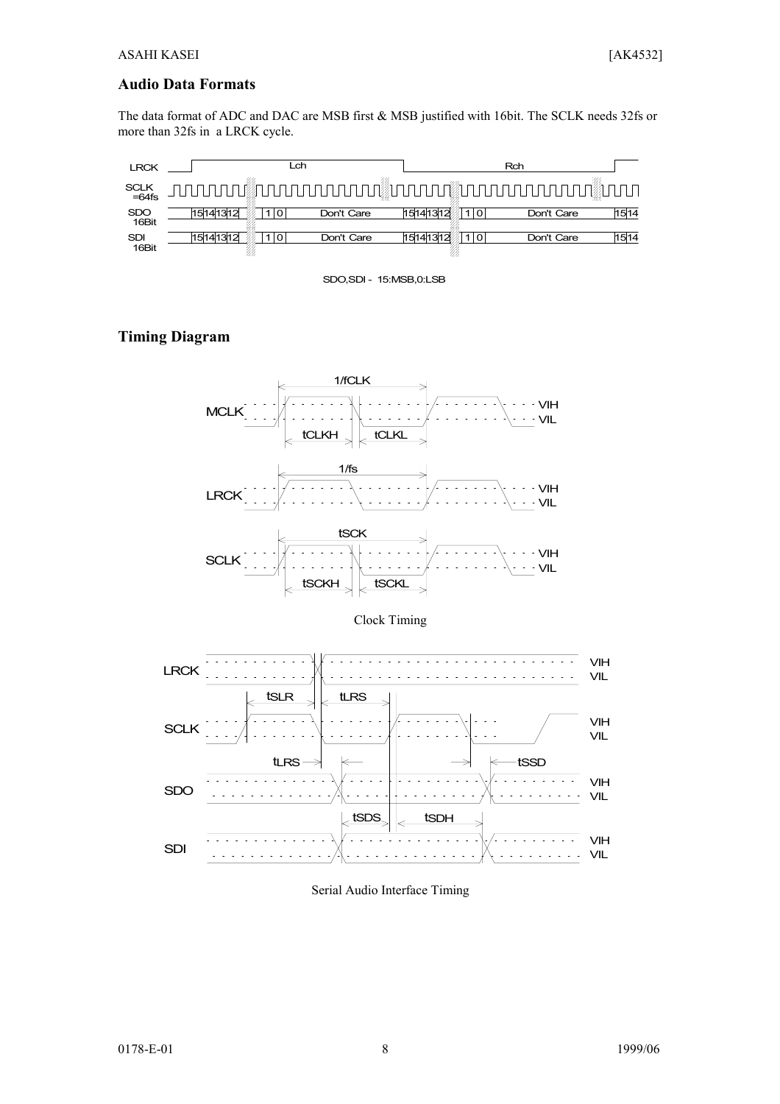#### **Audio Data Formats**

The data format of ADC and DAC are MSB first & MSB justified with 16bit. The SCLK needs 32fs or more than 32fs in a LRCK cycle.

| <b>LRCK</b>         |          | _ch |            |          | Rch |                             |      |  |
|---------------------|----------|-----|------------|----------|-----|-----------------------------|------|--|
| SCLK<br>=64fs       |          |     |            |          |     | . @nnnnnnnnnnnnnnnnnnnnnnnn |      |  |
| <b>SDO</b><br>16Bit | 15141312 |     | Don't Care | 15141312 |     | Don't Care                  | 1514 |  |
| <b>SDI</b><br>16Bit | 15141312 |     | Don't Care | 1514131  |     | Don't Care                  | 1514 |  |

SDO,SDI - 15:MSB,0:LSB

## **Timing Diagram**



Clock Timing



Serial Audio Interface Timing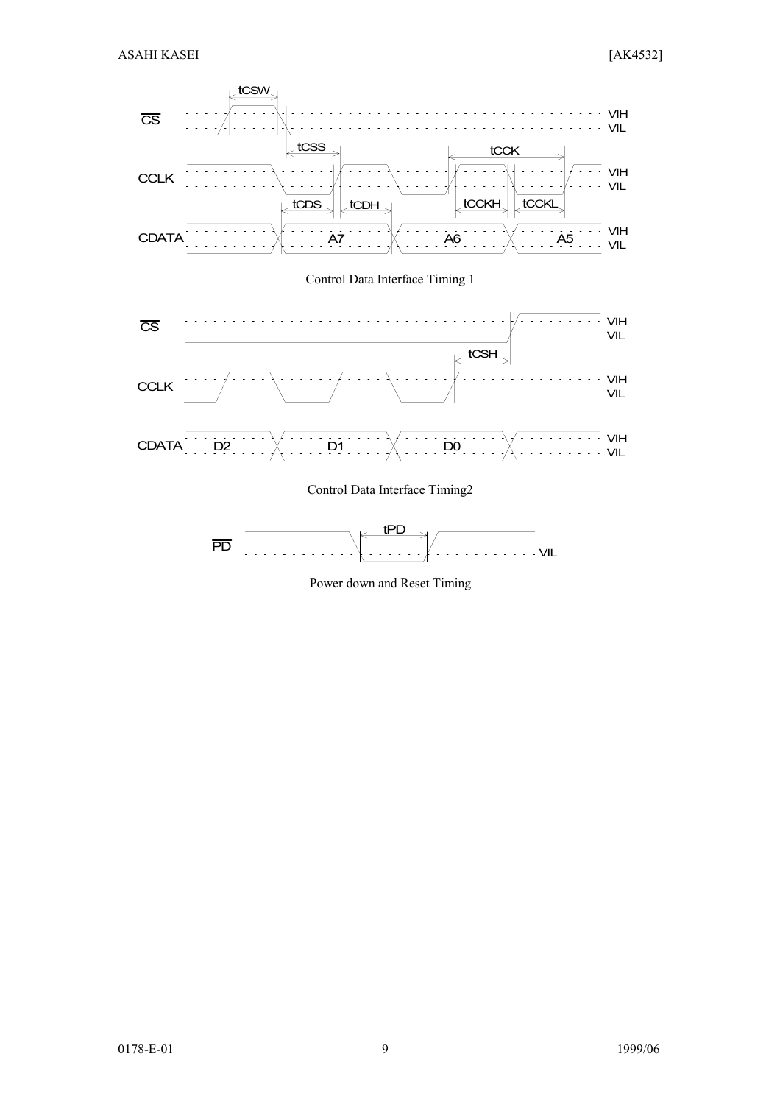



Power down and Reset Timing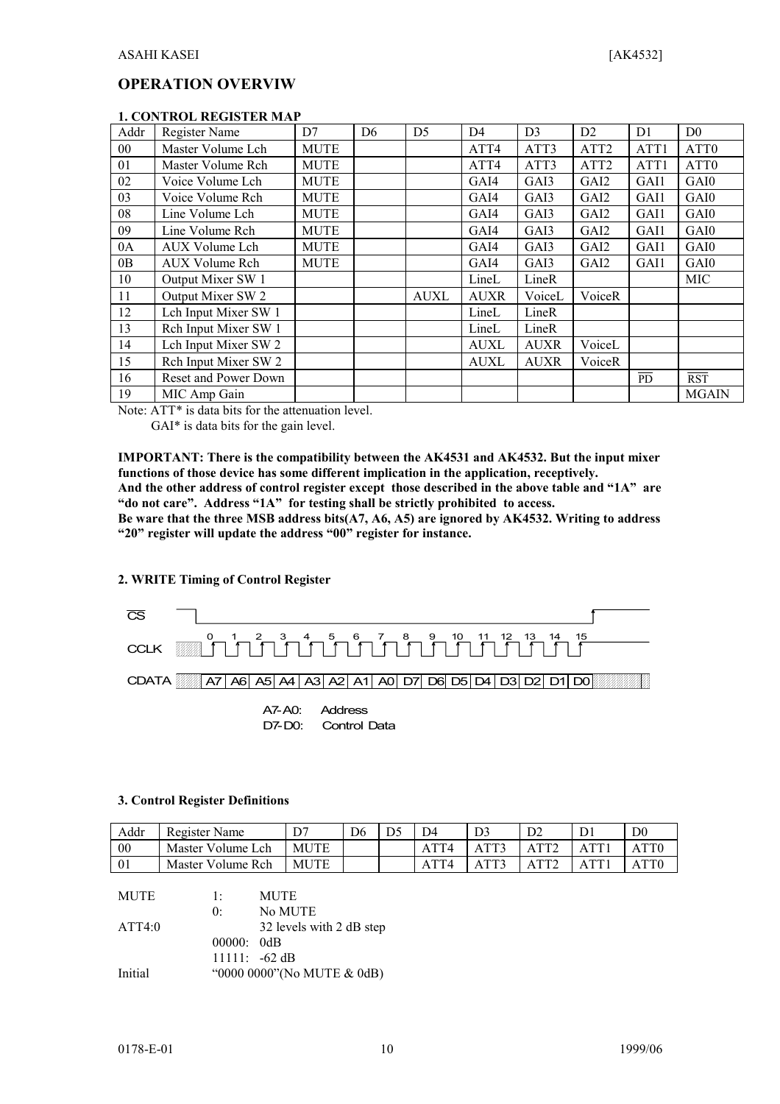#### **OPERATION OVERVIW**

|                 | I. CONTROL REGISTER MAF |             |                |                |                |                |                  |                |                  |
|-----------------|-------------------------|-------------|----------------|----------------|----------------|----------------|------------------|----------------|------------------|
| Addr            | Register Name           | D7          | D <sub>6</sub> | D <sub>5</sub> | D <sub>4</sub> | D <sub>3</sub> | D2               | D <sub>1</sub> | D <sub>0</sub>   |
| 00 <sup>°</sup> | Master Volume Lch       | <b>MUTE</b> |                |                | ATT4           | ATT3           | ATT <sub>2</sub> | ATT1           | ATT <sub>0</sub> |
| 01              | Master Volume Rch       | <b>MUTE</b> |                |                | ATT4           | ATT3           | ATT <sub>2</sub> | ATT1           | ATT <sub>0</sub> |
| 02              | Voice Volume Lch        | <b>MUTE</b> |                |                | GAI4           | GAI3           | GAI2             | GAI1           | GAI0             |
| 03              | Voice Volume Rch        | <b>MUTE</b> |                |                | GAI4           | GAI3           | GAI <sub>2</sub> | GAI1           | GAI0             |
| 08              | Line Volume Lch         | <b>MUTE</b> |                |                | GAI4           | GAI3           | GAI2             | GAI1           | GAI0             |
| 09              | Line Volume Rch         | <b>MUTE</b> |                |                | GAI4           | GAI3           | GAI2             | GAI1           | GAI0             |
| 0A              | AUX Volume Lch          | <b>MUTE</b> |                |                | GAI4           | GAI3           | GAI2             | GAI1           | GAI0             |
| 0B              | AUX Volume Rch          | <b>MUTE</b> |                |                | GAI4           | GAI3           | GAI2             | GAI1           | GAI0             |
| 10              | Output Mixer SW 1       |             |                |                | LineL          | LineR          |                  |                | <b>MIC</b>       |
| 11              | Output Mixer SW 2       |             |                | <b>AUXL</b>    | <b>AUXR</b>    | VoiceL         | VoiceR           |                |                  |
| 12              | Lch Input Mixer SW 1    |             |                |                | LineL          | LineR          |                  |                |                  |
| 13              | Rch Input Mixer SW 1    |             |                |                | LineL          | LineR          |                  |                |                  |
| 14              | Lch Input Mixer SW 2    |             |                |                | <b>AUXL</b>    | <b>AUXR</b>    | VoiceL           |                |                  |
| 15              | Rch Input Mixer SW 2    |             |                |                | <b>AUXL</b>    | <b>AUXR</b>    | VoiceR           |                |                  |
| 16              | Reset and Power Down    |             |                |                |                |                |                  | <b>PD</b>      | <b>RST</b>       |
| 19              | MIC Amp Gain            |             |                |                |                |                |                  |                | <b>MGAIN</b>     |

#### **1. CONTROL REGISTER MAP**

Note: ATT\* is data bits for the attenuation level.

GAI\* is data bits for the gain level.

**IMPORTANT: There is the compatibility between the AK4531 and AK4532. But the input mixer functions of those device has some different implication in the application, receptively. And the other address of control register except those described in the above table and "1A" are**

**"do not care". Address "1A" for testing shall be strictly prohibited to access.**

**Be ware that the three MSB address bits(A7, A6, A5) are ignored by AK4532. Writing to address "20" register will update the address "00" register for instance.**

#### **2. WRITE Timing of Control Register**



D7-D0: Control Data

#### **3. Control Register Definitions**

| Addr | Register Name     |             | D <sub>6</sub> | D4 |      |                          | D <sub>0</sub> |
|------|-------------------|-------------|----------------|----|------|--------------------------|----------------|
| 00   | Master Volume Lch | <b>MUTE</b> |                |    | ATT? | $\triangle$ TT $\hat{ }$ |                |
| 01   | Master Volume Rch | <b>MUTE</b> |                |    | ATT3 |                          |                |

| <b>MUTE</b> | $1 \cdot$   | <b>MUTE</b>                 |
|-------------|-------------|-----------------------------|
|             | $0^{\circ}$ | No MUTE                     |
| ATT4:0      |             | 32 levels with 2 dB step    |
|             | 00000:0dB   |                             |
|             |             | $11111: -62 \text{ dB}$     |
| Initial     |             | "0000 0000" (No MUTE & 0dB) |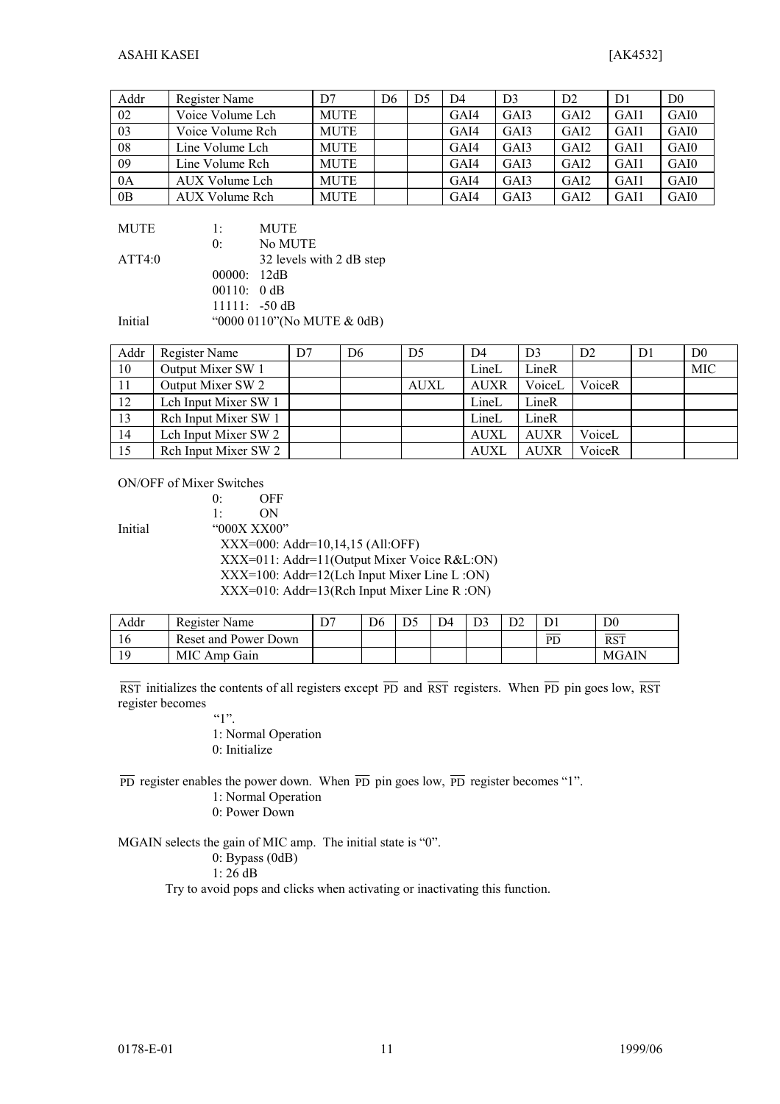| Addr | Register Name    | D7          | D6 | D <sub>5</sub> | D4   | D <sub>3</sub> | D <sub>2</sub>    | D1   | D <sub>0</sub> |
|------|------------------|-------------|----|----------------|------|----------------|-------------------|------|----------------|
| 02   | Voice Volume Lch | <b>MUTE</b> |    |                | GAI4 | GAI3           | GA <sub>I</sub> 2 | GAI1 | GAI0           |
| 03   | Voice Volume Rch | <b>MUTE</b> |    |                | GAI4 | GAI3           | GA <sub>I</sub> 2 | GAI1 | GAI0           |
| 08   | Line Volume Lch  | <b>MUTE</b> |    |                | GAI4 | GAI3           | GA <sub>I</sub> 2 | GAI1 | GAI0           |
| 09   | Line Volume Rch  | <b>MUTE</b> |    |                | GAI4 | GAI3           | GA <sub>I</sub> 2 | GAI1 | GAI0           |
| 0A   | AUX Volume Lch   | <b>MUTE</b> |    |                | GAI4 | GAI3           | GAI <sub>2</sub>  | GAI1 | GAI0           |
| 0B   | AUX Volume Rch   | <b>MUTE</b> |    |                | GAI4 | GAI3           | GAI <sub>2</sub>  | GAI1 | GAI0           |

| MUTE    | 1:          | <b>MUTE</b>                 |
|---------|-------------|-----------------------------|
|         | 0:          | No MUTE                     |
| ATT4:0  |             | 32 levels with 2 dB step    |
|         | 00000: 12dB |                             |
|         | 00110: 0 dB |                             |
|         |             | $11111: -50dB$              |
| Initial |             | "0000 0110" (No MUTE & 0dB) |

| Addr | Register Name        | D7 | D6 | D <sub>5</sub> | D4          | D <sub>3</sub> | D2     | D <sub>1</sub> | D <sub>0</sub> |
|------|----------------------|----|----|----------------|-------------|----------------|--------|----------------|----------------|
| 10   | Output Mixer SW 1    |    |    |                | LineL       | LineR          |        |                | <b>MIC</b>     |
| 11   | Output Mixer SW 2    |    |    | <b>AUXL</b>    | <b>AUXR</b> | VoiceL         | VoiceR |                |                |
| 12   | Leh Input Mixer SW 1 |    |    |                | LineL       | LineR          |        |                |                |
| 13   | Reh Input Mixer SW 1 |    |    |                | LineL       | LineR          |        |                |                |
| 14   | Leh Input Mixer SW 2 |    |    |                | <b>AUXL</b> | <b>AUXR</b>    | VoiceL |                |                |
| 15   | Reh Input Mixer SW 2 |    |    |                | AUXI        | <b>AUXR</b>    | VoiceR |                |                |

ON/OFF of Mixer Switches

0: OFF 1: ON Initial "000X XX00" XXX=000: Addr=10,14,15 (All:OFF) XXX=011: Addr=11(Output Mixer Voice R&L:ON) XXX=100: Addr=12(Lch Input Mixer Line L :ON) XXX=010: Addr=13(Rch Input Mixer Line R :ON)

| Addr | Register Name        | D7 | D <sub>6</sub> | D4 | D <sub>3</sub> |    | D0           |
|------|----------------------|----|----------------|----|----------------|----|--------------|
|      | Reset and Power Down |    |                |    |                | PD | <b>RST</b>   |
|      | MIC Amp Gain         |    |                |    |                |    | <b>MGAIN</b> |

RST initializes the contents of all registers except  $\overline{PD}$  and  $\overline{RST}$  registers. When  $\overline{PD}$  pin goes low,  $\overline{RST}$ register becomes

 $"$ 

1: Normal Operation

0: Initialize

 $\overline{PD}$  register enables the power down. When  $\overline{PD}$  pin goes low,  $\overline{PD}$  register becomes "1".

- 1: Normal Operation
- 0: Power Down

MGAIN selects the gain of MIC amp. The initial state is "0".

0: Bypass (0dB)

1: 26 dB

Try to avoid pops and clicks when activating or inactivating this function.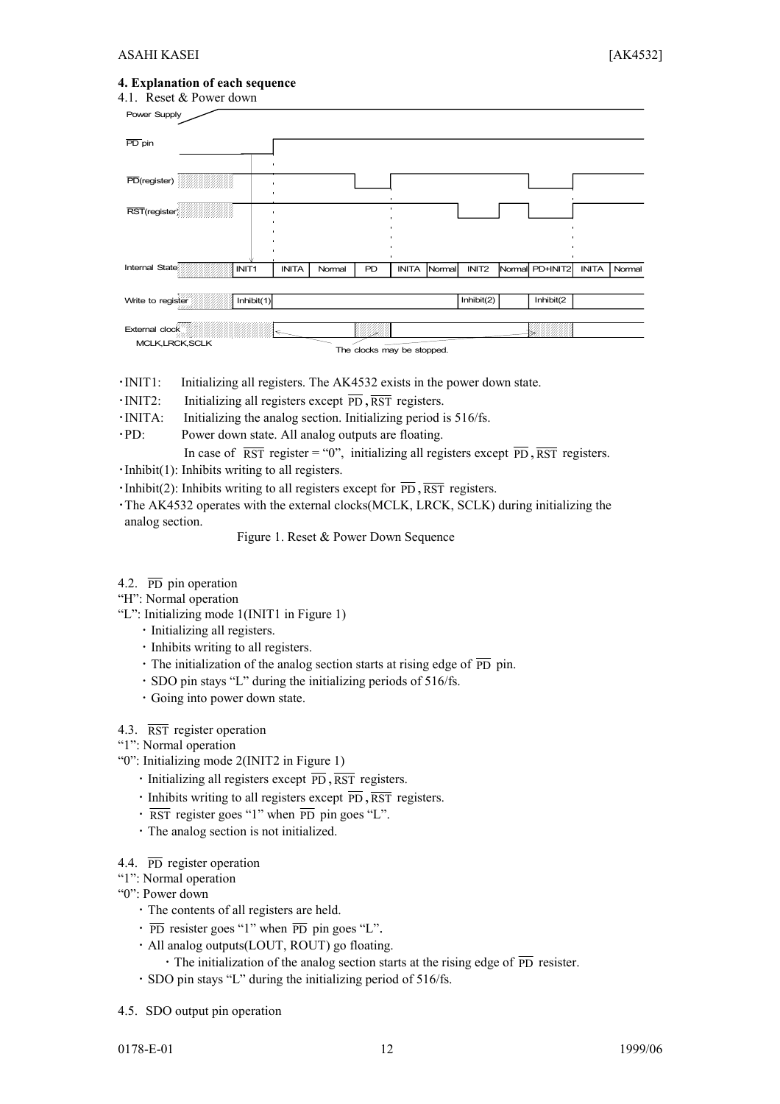#### **4. Explanation of each sequence**

| 4.1. Reset & Power down |                   |              |        |    |                            |        |                   |                 |              |        |
|-------------------------|-------------------|--------------|--------|----|----------------------------|--------|-------------------|-----------------|--------------|--------|
| Power Supply            |                   |              |        |    |                            |        |                   |                 |              |        |
| $\overline{PD}$ pin     |                   |              |        |    |                            |        |                   |                 |              |        |
| PD(register)            |                   |              |        |    |                            |        |                   |                 |              |        |
|                         |                   |              |        |    |                            |        |                   |                 |              |        |
|                         |                   |              |        |    |                            |        |                   |                 |              |        |
| Internal State          | INIT <sub>1</sub> | <b>INITA</b> | Normal | PD | <b>INITA</b>               | Normal | INIT <sub>2</sub> | Normal PD+INIT2 | <b>INITA</b> | Normal |
| Write to register       | Inhibit $(1)$     |              |        |    |                            |        | Inhibit(2)        | Inhibit(2       |              |        |
| External clock          |                   |              |        |    |                            |        |                   |                 |              |        |
| MCLK, LRCK, SCLK        |                   |              |        |    | The clocks may be stopped. |        |                   |                 |              |        |

- ・INIT1: Initializing all registers. The AK4532 exists in the power down state.
- $\cdot$ INIT2: Initializing all registers except  $\overline{PD}$ ,  $\overline{RST}$  registers.
- ・INITA: Initializing the analog section. Initializing period is 516/fs.
- ・PD: Power down state. All analog outputs are floating.

In case of  $\overline{RST}$  register = "0", initializing all registers except  $\overline{PD}$ ,  $\overline{RST}$  registers.

- ・Inhibit(1): Inhibits writing to all registers.
- $\cdot$ Inhibit(2): Inhibits writing to all registers except for  $\overline{PD}$ ,  $\overline{RST}$  registers.

・The AK4532 operates with the external clocks(MCLK, LRCK, SCLK) during initializing the analog section.

Figure 1. Reset & Power Down Sequence

- 4.2.  $\overline{PD}$  pin operation
- "H": Normal operation
- "L": Initializing mode 1(INIT1 in Figure 1)
	- ・ Initializing all registers.
	- ・ Inhibits writing to all registers.
	- $\cdot$  The initialization of the analog section starts at rising edge of  $\overline{PD}$  pin.
	- ・ SDO pin stays "L" during the initializing periods of 516/fs.
	- ・ Going into power down state.
- 4.3. RST register operation
- "1": Normal operation
- "0": Initializing mode 2(INIT2 in Figure 1)
	- $\cdot$  Initializing all registers except  $\overline{PD}$ ,  $\overline{RST}$  registers.
	- $\cdot$  Inhibits writing to all registers except  $\overline{PD}$ ,  $\overline{RST}$  registers.
	- $\cdot$  RST register goes "1" when  $\overline{PD}$  pin goes "L".
	- ・ The analog section is not initialized.
- 4.4. PD register operation
- "1": Normal operation
- "0": Power down
	- ・ The contents of all registers are held.
	- $\cdot$  PD resister goes "1" when  $\overline{PD}$  pin goes "L".
	- ・ All analog outputs(LOUT, ROUT) go floating.
		- The initialization of the analog section starts at the rising edge of  $\overline{PD}$  resister.
	- ・ SDO pin stays "L" during the initializing period of 516/fs.
- 4.5. SDO output pin operation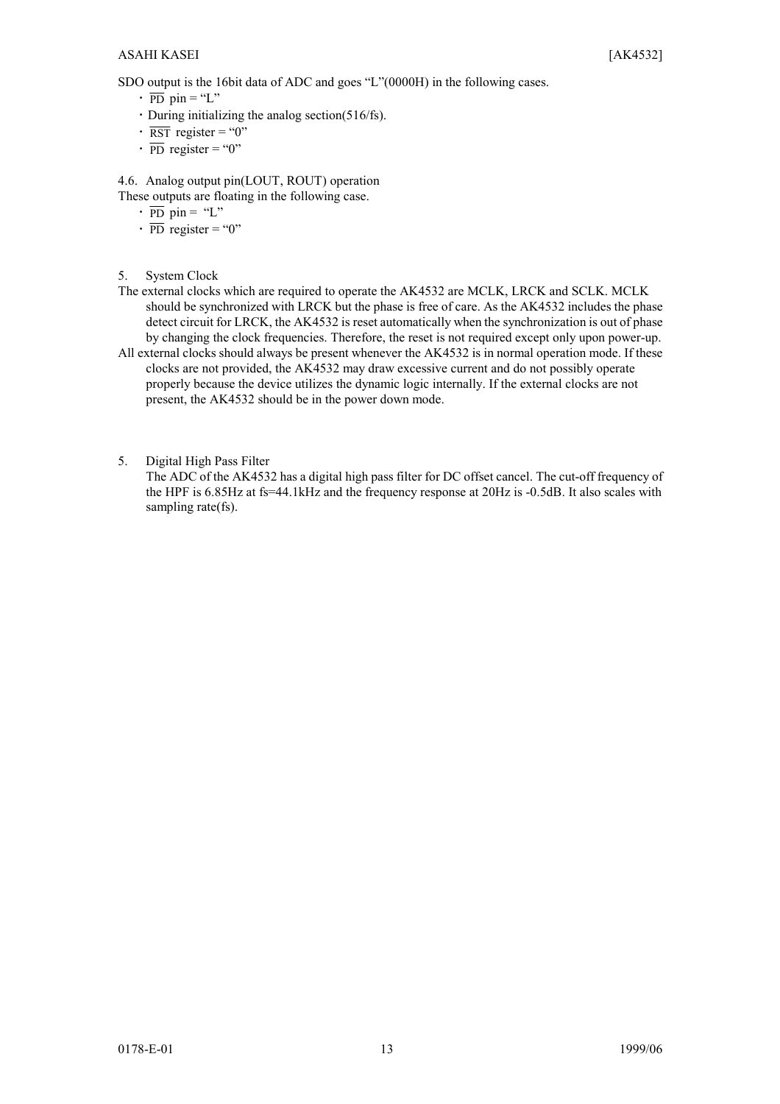SDO output is the 16bit data of ADC and goes "L"(0000H) in the following cases.

- $\cdot$  PD pin = "L"
- $\cdot$  During initializing the analog section(516/fs).
- $\cdot$  RST register = "0"
- $\cdot$  PD register = "0"

4.6. Analog output pin(LOUT, ROUT) operation

- These outputs are floating in the following case.
	- $\cdot$   $\overline{PD}$  pin = "L"
	- $\cdot$  PD register = "0"
- 5. System Clock
- The external clocks which are required to operate the AK4532 are MCLK, LRCK and SCLK. MCLK should be synchronized with LRCK but the phase is free of care. As the AK4532 includes the phase detect circuit for LRCK, the AK4532 is reset automatically when the synchronization is out of phase by changing the clock frequencies. Therefore, the reset is not required except only upon power-up.
- All external clocks should always be present whenever the AK4532 is in normal operation mode. If these clocks are not provided, the AK4532 may draw excessive current and do not possibly operate properly because the device utilizes the dynamic logic internally. If the external clocks are not present, the AK4532 should be in the power down mode.
- 5. Digital High Pass Filter

The ADC of the AK4532 has a digital high pass filter for DC offset cancel. The cut-off frequency of the HPF is 6.85Hz at fs=44.1kHz and the frequency response at 20Hz is -0.5dB. It also scales with sampling rate(fs).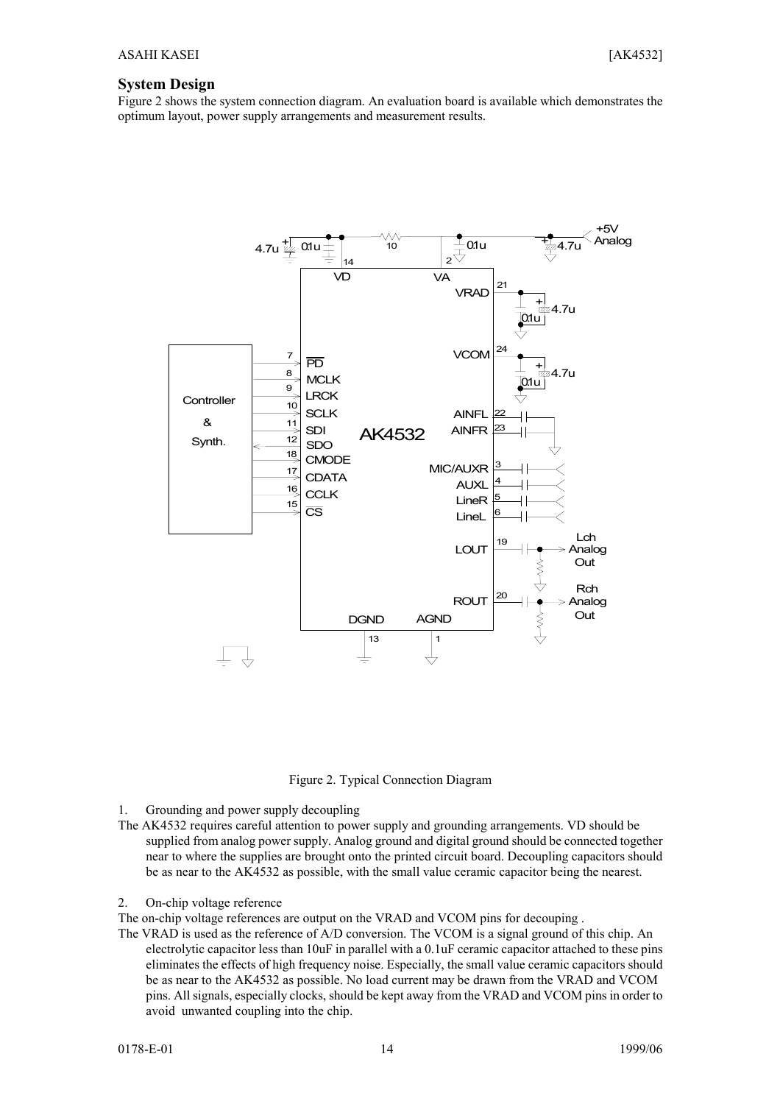#### **System Design**

Figure 2 shows the system connection diagram. An evaluation board is available which demonstrates the optimum layout, power supply arrangements and measurement results.



Figure 2. Typical Connection Diagram

- 1. Grounding and power supply decoupling
- The AK4532 requires careful attention to power supply and grounding arrangements. VD should be supplied from analog power supply. Analog ground and digital ground should be connected together near to where the supplies are brought onto the printed circuit board. Decoupling capacitors should be as near to the AK4532 as possible, with the small value ceramic capacitor being the nearest.
- 2. On-chip voltage reference

The on-chip voltage references are output on the VRAD and VCOM pins for decouping .

The VRAD is used as the reference of A/D conversion. The VCOM is a signal ground of this chip. An electrolytic capacitor less than 10uF in parallel with a 0.1uF ceramic capacitor attached to these pins eliminates the effects of high frequency noise. Especially, the small value ceramic capacitors should be as near to the AK4532 as possible. No load current may be drawn from the VRAD and VCOM pins. All signals, especially clocks, should be kept away from the VRAD and VCOM pins in order to avoid unwanted coupling into the chip.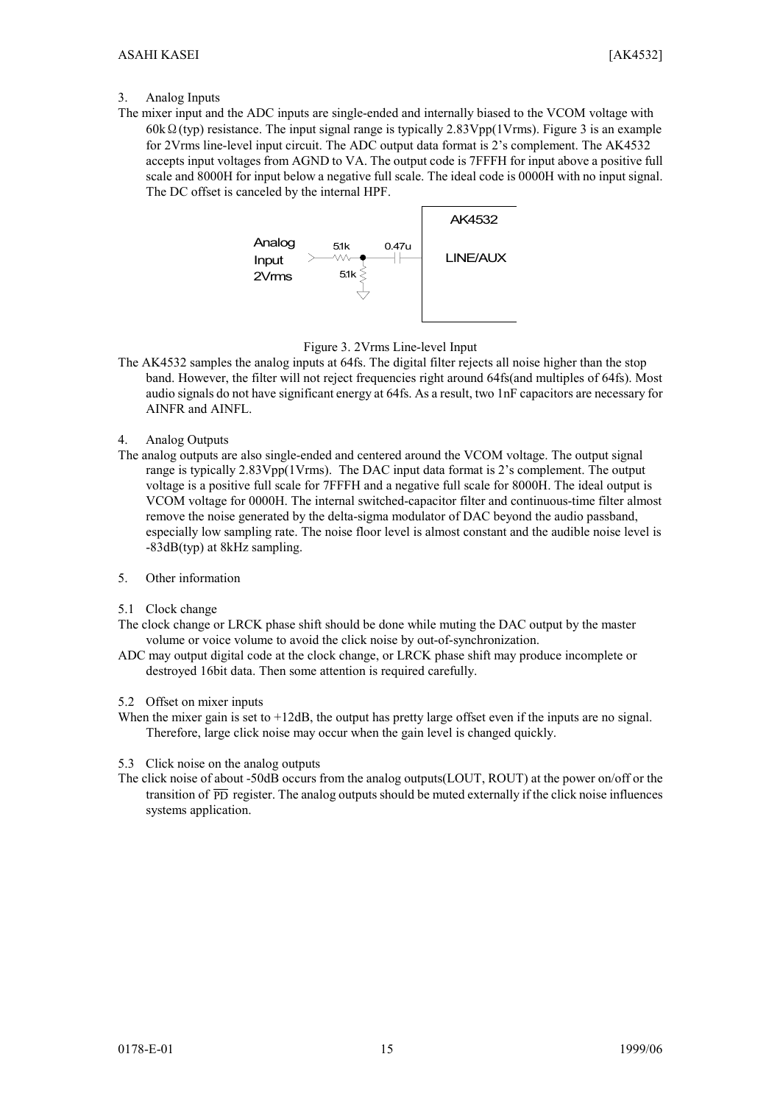#### 3. Analog Inputs

The mixer input and the ADC inputs are single-ended and internally biased to the VCOM voltage with 60kΩ(typ) resistance. The input signal range is typically 2.83Vpp(1Vrms). Figure 3 is an example for 2Vrms line-level input circuit. The ADC output data format is 2's complement. The AK4532 accepts input voltages from AGND to VA. The output code is 7FFFH for input above a positive full scale and 8000H for input below a negative full scale. The ideal code is 0000H with no input signal. The DC offset is canceled by the internal HPF.



Figure 3. 2Vrms Line-level Input

- The AK4532 samples the analog inputs at 64fs. The digital filter rejects all noise higher than the stop band. However, the filter will not reject frequencies right around 64fs(and multiples of 64fs). Most audio signals do not have significant energy at 64fs. As a result, two 1nF capacitors are necessary for AINFR and AINFL.
- 4. Analog Outputs
- The analog outputs are also single-ended and centered around the VCOM voltage. The output signal range is typically 2.83Vpp(1Vrms). The DAC input data format is 2's complement. The output voltage is a positive full scale for 7FFFH and a negative full scale for 8000H. The ideal output is VCOM voltage for 0000H. The internal switched-capacitor filter and continuous-time filter almost remove the noise generated by the delta-sigma modulator of DAC beyond the audio passband, especially low sampling rate. The noise floor level is almost constant and the audible noise level is -83dB(typ) at 8kHz sampling.
- 5. Other information
- 5.1 Clock change

The clock change or LRCK phase shift should be done while muting the DAC output by the master volume or voice volume to avoid the click noise by out-of-synchronization.

- ADC may output digital code at the clock change, or LRCK phase shift may produce incomplete or destroyed 16bit data. Then some attention is required carefully.
- 5.2 Offset on mixer inputs
- When the mixer gain is set to  $+12dB$ , the output has pretty large offset even if the inputs are no signal. Therefore, large click noise may occur when the gain level is changed quickly.
- 5.3 Click noise on the analog outputs
- The click noise of about -50dB occurs from the analog outputs(LOUT, ROUT) at the power on/off or the transition of PD register. The analog outputs should be muted externally if the click noise influences systems application.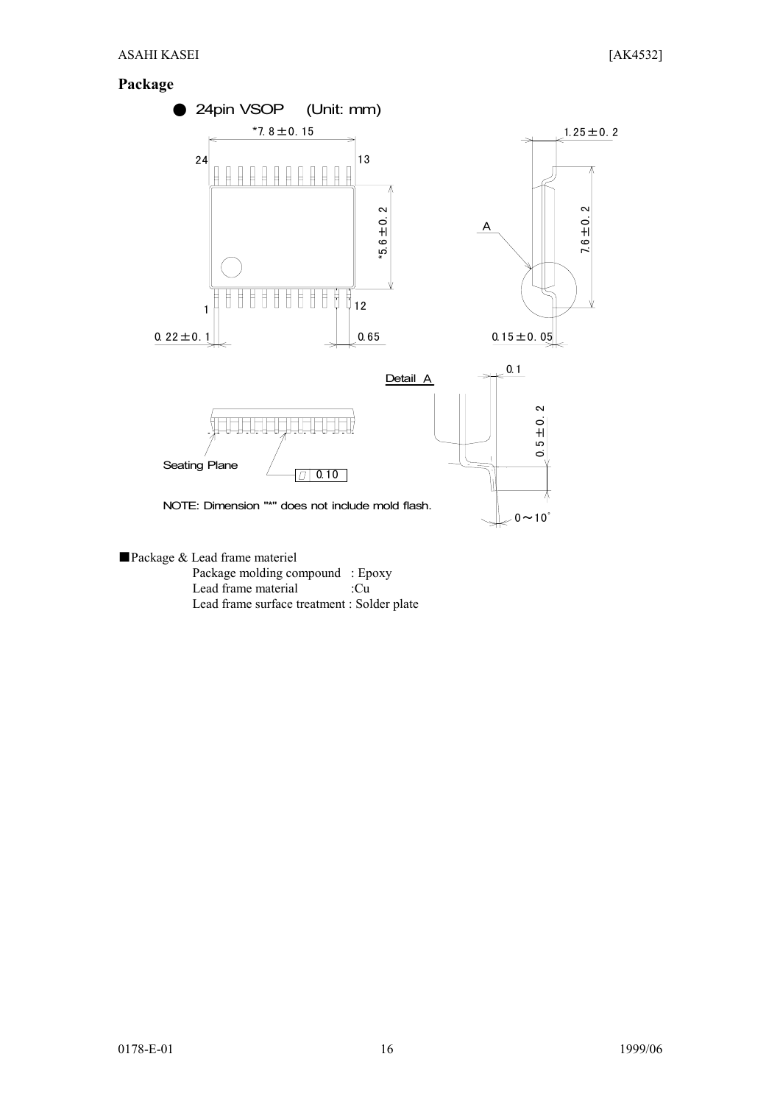#### **Package**



- ■Package & Lead frame materiel Package molding compound : Epoxy Lead frame material :Cu
	- Lead frame surface treatment : Solder plate